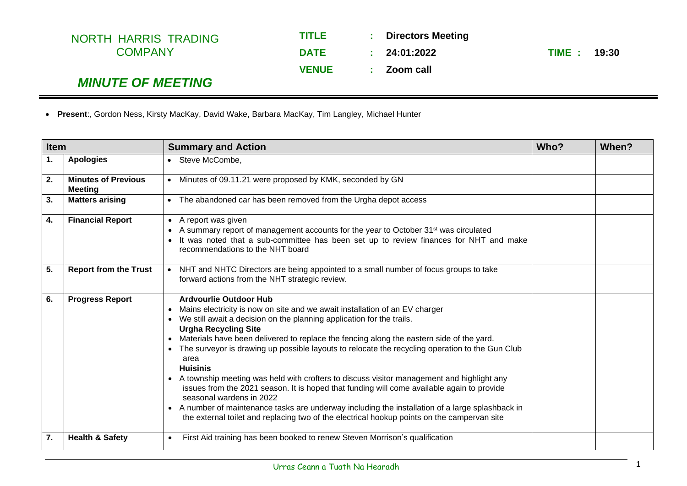| NORTH HARRIS TRADING     | TITLE        |     | : Directors Meeting |              |  |
|--------------------------|--------------|-----|---------------------|--------------|--|
| <b>COMPANY</b>           | <b>DATE</b>  |     | : 24:01:2022        | TIME : 19:30 |  |
|                          | <b>VENUE</b> | -10 | Zoom call           |              |  |
| <b>MINUTE OF MEETING</b> |              |     |                     |              |  |

|  | • Present:, Gordon Ness, Kirsty MacKay, David Wake, Barbara MacKay, Tim Langley, Michael Hunter |  |  |  |  |  |
|--|-------------------------------------------------------------------------------------------------|--|--|--|--|--|
|--|-------------------------------------------------------------------------------------------------|--|--|--|--|--|

| <b>Item</b> |                                              | <b>Summary and Action</b>                                                                                                                                                                                                                                                                                                                                                                                                                                                                                                                                                                                                                                                                                                                                                                                                                                                                                       |  | When? |
|-------------|----------------------------------------------|-----------------------------------------------------------------------------------------------------------------------------------------------------------------------------------------------------------------------------------------------------------------------------------------------------------------------------------------------------------------------------------------------------------------------------------------------------------------------------------------------------------------------------------------------------------------------------------------------------------------------------------------------------------------------------------------------------------------------------------------------------------------------------------------------------------------------------------------------------------------------------------------------------------------|--|-------|
| 1.          | <b>Apologies</b>                             | • Steve McCombe,                                                                                                                                                                                                                                                                                                                                                                                                                                                                                                                                                                                                                                                                                                                                                                                                                                                                                                |  |       |
| 2.          | <b>Minutes of Previous</b><br><b>Meeting</b> | Minutes of 09.11.21 were proposed by KMK, seconded by GN                                                                                                                                                                                                                                                                                                                                                                                                                                                                                                                                                                                                                                                                                                                                                                                                                                                        |  |       |
| 3.          | <b>Matters arising</b>                       | The abandoned car has been removed from the Urgha depot access<br>$\bullet$                                                                                                                                                                                                                                                                                                                                                                                                                                                                                                                                                                                                                                                                                                                                                                                                                                     |  |       |
| 4.          | <b>Financial Report</b>                      | • A report was given<br>A summary report of management accounts for the year to October 31 <sup>st</sup> was circulated<br>$\bullet$<br>It was noted that a sub-committee has been set up to review finances for NHT and make<br>$\bullet$<br>recommendations to the NHT board                                                                                                                                                                                                                                                                                                                                                                                                                                                                                                                                                                                                                                  |  |       |
| 5.          | <b>Report from the Trust</b>                 | NHT and NHTC Directors are being appointed to a small number of focus groups to take<br>forward actions from the NHT strategic review.                                                                                                                                                                                                                                                                                                                                                                                                                                                                                                                                                                                                                                                                                                                                                                          |  |       |
| 6.          | <b>Progress Report</b>                       | <b>Ardvourlie Outdoor Hub</b><br>Mains electricity is now on site and we await installation of an EV charger<br>We still await a decision on the planning application for the trails.<br><b>Urgha Recycling Site</b><br>Materials have been delivered to replace the fencing along the eastern side of the yard.<br>$\bullet$<br>The surveyor is drawing up possible layouts to relocate the recycling operation to the Gun Club<br>$\bullet$<br>area<br><b>Huisinis</b><br>A township meeting was held with crofters to discuss visitor management and highlight any<br>$\bullet$<br>issues from the 2021 season. It is hoped that funding will come available again to provide<br>seasonal wardens in 2022<br>• A number of maintenance tasks are underway including the installation of a large splashback in<br>the external toilet and replacing two of the electrical hookup points on the campervan site |  |       |
| 7.          | <b>Health &amp; Safety</b>                   | First Aid training has been booked to renew Steven Morrison's qualification                                                                                                                                                                                                                                                                                                                                                                                                                                                                                                                                                                                                                                                                                                                                                                                                                                     |  |       |